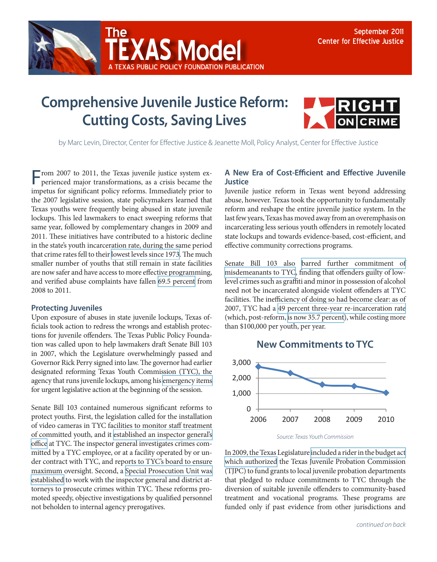

## **Comprehensive Juvenile Justice Reform: Cutting Costs, Saving Lives**

A Texas Public Policy Foundation publication

**AS Model** 



by Marc Levin, Director, Center for Effective Justice & Jeanette Moll, Policy Analyst, Center for Effective Justice

From 2007 to 2011, the Texas juvenile justice system experienced major transformations, as a crisis became the impetus for significant policy reforms. Immediately prior to the 2007 legislative session, state policymakers learned that Texas youths were frequently being abused in state juvenile lockups. This led lawmakers to enact sweeping reforms that same year, followed by complementary changes in 2009 and 2011. These initiatives have contributed to a historic decline in the state's youth incarceration rate, during the same period that crime rates fell to their [lowest levels since 1973.](http://www.disastercenter.com/crime/txcrime.htm) The much smaller number of youths that still remain in state facilities are now safer and have access to more effective programming, and verified abuse complaints have fallen [69.5 percent](http://www.tyc.state.tx.us/oig/index.html) from 2008 to 2011.

## **Protecting Juveniles**

Upon exposure of abuses in state juvenile lockups, Texas officials took action to redress the wrongs and establish protections for juvenile offenders. The Texas Public Policy Foundation was called upon to help lawmakers draft Senate Bill 103 in 2007, which the Legislature overwhelmingly passed and Governor Rick Perry signed into law. The governor had earlier designated reforming Texas Youth Commission (TYC), the agency that runs juvenile lockups, among his [emergency items](http://governor.state.tx.us/news/press-release/2278/) for urgent legislative action at the beginning of the session.

Senate Bill 103 contained numerous significant reforms to protect youths. First, the legislation called for the installation of video cameras in TYC facilities to monitor staff treatment of committed youth, and it [established an inspector general's](http://www.capitol.state.tx.us/BillLookup/History.aspx?LegSess=80R&Bill=HB914)  [office](http://www.capitol.state.tx.us/BillLookup/History.aspx?LegSess=80R&Bill=HB914) at TYC. The inspector general investigates crimes committed by a TYC employee, or at a facility operated by or under contract with TYC, and reports to TYC's board to ensure maximum oversight. Second, a [Special Prosecution Unit was](http://www.capitol.state.tx.us/BillLookup/History.aspx?LegSess=80R&Bill=SB103)  [established](http://www.capitol.state.tx.us/BillLookup/History.aspx?LegSess=80R&Bill=SB103) to work with the inspector general and district attorneys to prosecute crimes within TYC. These reforms promoted speedy, objective investigations by qualified personnel not beholden to internal agency prerogatives.

## **A New Era of Cost-Efficient and Effective Juvenile Justice**

Juvenile justice reform in Texas went beyond addressing abuse, however. Texas took the opportunity to fundamentally reform and reshape the entire juvenile justice system. In the last few years, Texas has moved away from an overemphasis on incarcerating less serious youth offenders in remotely located state lockups and towards evidence-based, cost-efficient, and effective community corrections programs.

Senate Bill 103 also [barred further commitment of](http://www.capitol.state.tx.us/BillLookup/History.aspx?LegSess=80R&Bill=SB103) [misdemeanants to TYC](http://www.capitol.state.tx.us/BillLookup/History.aspx?LegSess=80R&Bill=SB103), finding that offenders guilty of lowlevel crimes such as graffiti and minor in possession of alcohol need not be incarcerated alongside violent offenders at TYC facilities. The inefficiency of doing so had become clear: as of 2007, TYC had a [49 percent three-year re-incarceration rate](http://www.lbb.state.tx.us/PubSafety_CrimJustice/3_Reports/Recidivism_Report_2009.pdf) (which, post-reform, [is now 35.7 percent\)](http://www.lbb.state.tx.us/PubSafety_CrimJustice/3_Reports/Recidivism_Report_2011.pdf), while costing more than \$100,000 per youth, per year.





In 2009, the Texas Legislature [included a rider in the budget act](http://www.tjpc.state.tx.us/publications/newsletters/NEWS0110.pdf)  [which authorized](http://www.tjpc.state.tx.us/publications/newsletters/NEWS0110.pdf) the Texas Juvenile Probation Commission (TJPC) to fund grants to local juvenile probation departments that pledged to reduce commitments to TYC through the diversion of suitable juvenile offenders to community-based treatment and vocational programs. These programs are funded only if past evidence from other jurisdictions and

*Source: Texas Youth Commission*